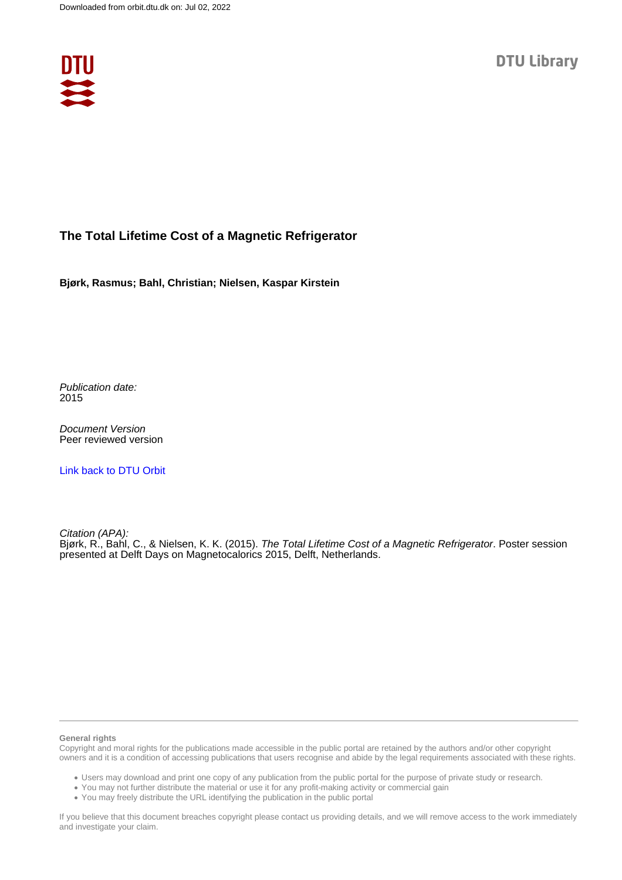

## **The Total Lifetime Cost of a Magnetic Refrigerator**

**Bjørk, Rasmus; Bahl, Christian; Nielsen, Kaspar Kirstein**

Publication date: 2015

Document Version Peer reviewed version

[Link back to DTU Orbit](https://orbit.dtu.dk/en/publications/96775c70-4a3b-49ee-9b35-c82d67cbe518)

Citation (APA):

Bjørk, R., Bahl, C., & Nielsen, K. K. (2015). The Total Lifetime Cost of a Magnetic Refrigerator. Poster session presented at Delft Days on Magnetocalorics 2015, Delft, Netherlands.

## **General rights**

Copyright and moral rights for the publications made accessible in the public portal are retained by the authors and/or other copyright owners and it is a condition of accessing publications that users recognise and abide by the legal requirements associated with these rights.

Users may download and print one copy of any publication from the public portal for the purpose of private study or research.

- You may not further distribute the material or use it for any profit-making activity or commercial gain
- You may freely distribute the URL identifying the publication in the public portal

If you believe that this document breaches copyright please contact us providing details, and we will remove access to the work immediately and investigate your claim.